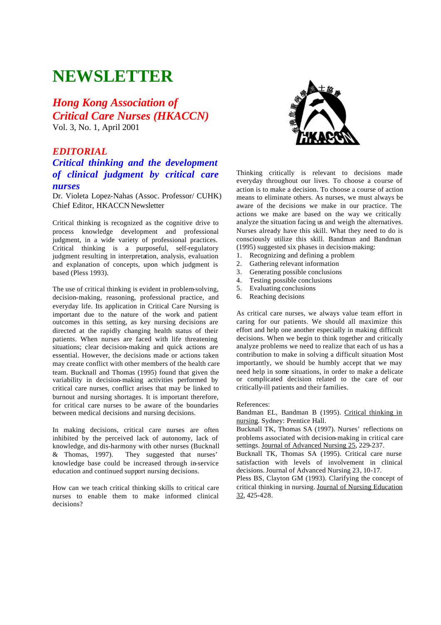# **NEWSLETTER**

*Hong Kong Association of Critical Care Nurses (HKACCN)* Vol. 3, No. 1, April 2001

# *EDITORIAL*

# *Critical thinking and the development of clinical judgment by critical care nurses*

Dr. Violeta Lopez-Nahas (Assoc. Professor/ CUHK) Chief Editor, HKACCN Newsletter

Critical thinking is recognized as the cognitive drive to process knowledge development and professional judgment, in a wide variety of professional practices. Critical thinking is a purposeful, self-regulatory judgment resulting in interpretation, analysis, evaluation and explanation of concepts, upon which judgment is based (Pless 1993).

The use of critical thinking is evident in problem-solving, decision-making, reasoning, professional practice, and everyday life. Its application in Critical Care Nursing is important due to the nature of the work and patient outcomes in this setting, as key nursing decisions are directed at the rapidly changing health status of their patients. When nurses are faced with life threatening situations; clear decision-making and quick actions are essential. However, the decisions made or actions taken may create conflict with other members of the health care team. Bucknall and Thomas (1995) found that given the variability in decision-making activities performed by critical care nurses, conflict arises that may be linked to burnout and nursing shortages. It is important therefore, for critical care nurses to be aware of the boundaries between medical decisions and nursing decisions.

In making decisions, critical care nurses are often inhibited by the perceived lack of autonomy, lack of knowledge, and dis-harmony with other nurses (Bucknall & Thomas, 1997). They suggested that nurses' knowledge base could be increased through in-service education and continued support nursing decisions.

How can we teach critical thinking skills to critical care nurses to enable them to make informed clinical decisions?



Thinking critically is relevant to decisions made everyday throughout our lives. To choose a course of action is to make a decision. To choose a course of action means to eliminate others. As nurses, we must always be aware of the decisions we make in our practice. The actions we make are based on the way we critically analyze the situation facing us and weigh the alternatives. Nurses already have this skill. What they need to do is consciously utilize this skill. Bandman and Bandman (1995) suggested six phases in decision-making:

- 1. Recognizing and defining a problem
- 2. Gathering relevant information
- 3. Generating possible conclusions
- 4. Testing possible conclusions
- 5. Evaluating conclusions
- 6. Reaching decisions

As critical care nurses, we always value team effort in caring for our patients. We should all maximize this effort and help one another especially in making difficult decisions. When we begin to think together and critically analyze problems we need to realize that each of us has a contribution to make in solving a difficult situation Most importantly, we should be humbly accept that we may need help in some situations, in order to make a delicate or complicated decision related to the care of our critically-ill patients and their families.

References:

Bandman EL, Bandman B (1995). Critical thinking in nursing. Sydney: Prentice Hall.

Bucknall TK, Thomas SA (1997). Nurses' reflections on problems associated with decision-making in critical care settings. Journal of Advanced Nursing 25, 229-237.

Bucknall TK, Thomas SA (1995). Critical care nurse satisfaction with levels of involvement in clinical decisions. Journal of Advanced Nursing 23, 10-17.

Pless BS, Clayton GM (1993). Clarifying the concept of critical thinking in nursing. Journal of Nursing Education 32, 425-428.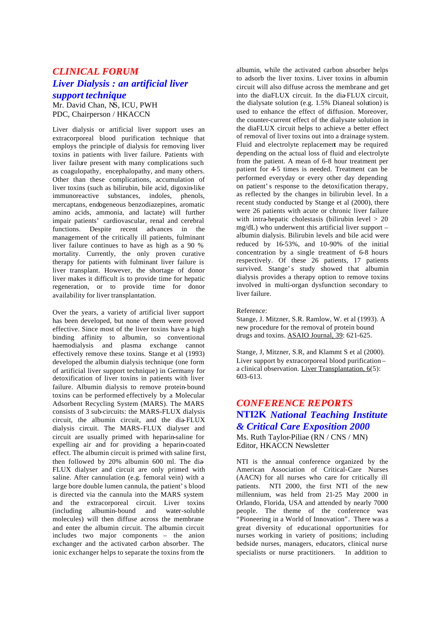# *CLINICAL FORUM Liver Dialysis : an artificial liver support technique*

Mr. David Chan, NS, ICU, PWH PDC, Chairperson / HKACCN

Liver dialysis or artificial liver support uses an extracorporeal blood purification technique that employs the principle of dialysis for removing liver toxins in patients with liver failure. Patients with liver failure present with many complications such as coagulopathy, encephalopathy, and many others. Other than these complications, accumulation of liver toxins (such as bilirubin, bile acid, digoxin-like immunoreactive substances, indoles. phenols. immunoreactive substances, indoles, mercaptans, endogeneous benzodiazepines, aromatic amino acids, ammonia, and lactate) will further impair patients' cardiovascular, renal and cerebral functions. Despite recent advances in the management of the critically ill patients, fulminant liver failure continues to have as high as a 90 % mortality. Currently, the only proven curative therapy for patients with fulminant liver failure is liver transplant. However, the shortage of donor liver makes it difficult is to provide time for hepatic regeneration, or to provide time for donor availability for liver transplantation.

Over the years, a variety of artificial liver support has been developed, but none of them were proved effective. Since most of the liver toxins have a high binding affinity to albumin, so conventional haemodialysis and plasma exchange cannot effectively remove these toxins. Stange et al (1993) developed the albumin dialysis technique (one form of artificial liver support technique) in Germany for detoxification of liver toxins in patients with liver failure. Albumin dialysis to remove protein-bound toxins can be performed effectively by a Molecular Adsorbent Recycling System (MARS). The MARS consists of 3 sub-circuits: the MARS-FLUX dialysis circuit, the albumin circuit, and the dia-FLUX dialysis circuit. The MARS-FLUX dialyser and circuit are usually primed with heparin-saline for expelling air and for providing a heparin-coated effect. The albumin circuit is primed with saline first, then followed by 20% albumin 600 ml. The dia-FLUX dialyser and circuit are only primed with saline. After cannulation (e.g. femoral vein) with a large bore double lumen cannula, the patient's blood is directed via the cannula into the MARS system and the extracorporeal circuit. Liver toxins (including albumin-bound and water-soluble molecules) will then diffuse across the membrane and enter the albumin circuit. The albumin circuit includes two major components – the anion exchanger and the activated carbon absorber. The ionic exchanger helps to separate the toxins from the

albumin, while the activated carbon absorber helps to adsorb the liver toxins. Liver toxins in albumin circuit will also diffuse across the membrane and get into the diaFLUX circuit. In the dia-FLUX circuit, the dialysate solution (e.g. 1.5% Dianeal solution) is used to enhance the effect of diffusion. Moreover, the counter-current effect of the dialysate solution in the diaFLUX circuit helps to achieve a better effect of removal of liver toxins out into a drainage system. Fluid and electrolyte replacement may be required depending on the actual loss of fluid and electrolyte from the patient. A mean of 6-8 hour treatment per patient for 4-5 times is needed. Treatment can be performed everyday or every other day depending on patient's response to the detoxification therapy, as reflected by the changes in bilirubin level. In a recent study conducted by Stange et al (2000), there were 26 patients with acute or chronic liver failure with intra-hepatic cholestasis (bilirubin level  $> 20$  $mg/dL$ ) who underwent this artificial liver support – albumin dialysis. Bilirubin levels and bile acid were reduced by 16-53%, and 10-90% of the initial concentration by a single treatment of 6-8 hours respectively. Of these 26 patients, 17 patients survived. Stange's study showed that albumin dialysis provides a therapy option to remove toxins involved in multi-organ dysfunction secondary to liver failure.

Reference:

Stange, J. Mitzner, S.R. Ramlow, W. et al (1993). A new procedure for the removal of protein bound drugs and toxins. ASAIO Journal, 39: 621-625.

Stange, J, Mitzner, S.R, and Klammt S et al (2000). Liver support by extracorporeal blood purification – a clinical observation. Liver Transplantation,  $6(5)$ : 603-613.

# *CONFERENCE REPORTS* **NTI2K** *National Teaching Institute & Critical Care Exposition 2000*

Ms. Ruth Taylor-Piliae (RN / CNS / MN) Editor, HKACCN Newsletter

NTI is the annual conference organized by the American Association of Critical-Care Nurses (AACN) for all nurses who care for critically ill patients. NTI 2000, the first NTI of the new millennium, was held from 21-25 May 2000 in Orlando, Florida, USA and attended by nearly 7000 people. The theme of the conference was "Pioneering in a World of Innovation". There was a great diversity of educational opportunities for nurses working in variety of positions; including bedside nurses, managers, educators, clinical nurse specialists or nurse practitioners. In addition to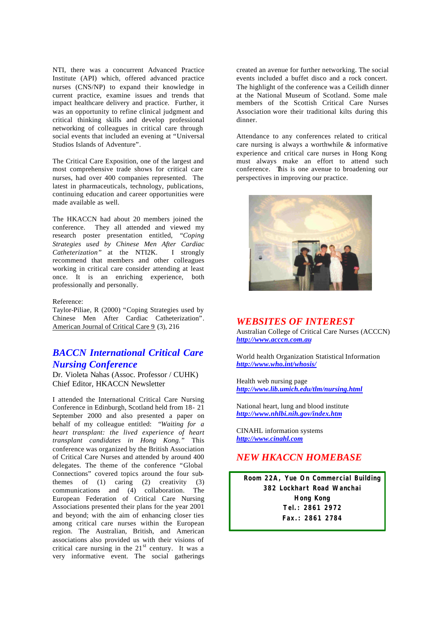NTI, there was a concurrent Advanced Practice Institute (API) which, offered advanced practice nurses (CNS/NP) to expand their knowledge in current practice, examine issues and trends that impact healthcare delivery and practice. Further, it was an opportunity to refine clinical judgment and critical thinking skills and develop professional networking of colleagues in critical care through social events that included an evening at "Universal Studios Islands of Adventure".

The Critical Care Exposition, one of the largest and most comprehensive trade shows for critical care nurses, had over 400 companies represented. The latest in pharmaceuticals, technology, publications, continuing education and career opportunities were made available as well.

The HKACCN had about 20 members joined the conference. They all attended and viewed my research poster presentation entitled, *"Coping Strategies used by Chinese Men After Cardiac Catheterization"* at the NTI2K. I strongly recommend that members and other colleagues working in critical care consider attending at least once. It is an enriching experience, both professionally and personally.

Reference:

Taylor-Piliae, R (2000) "Coping Strategies used by Chinese Men After Cardiac Catheterization". American Journal of Critical Care 9 (3), 216

# *BACCN International Critical Care Nursing Conference*

Dr. Violeta Nahas (Assoc. Professor / CUHK) Chief Editor, HKACCN Newsletter

I attended the International Critical Care Nursing Conference in Edinburgh, Scotland held from 18- 21 September 2000 and also presented a paper on behalf of my colleague entitled: *"Waiting for a heart transplant: the lived experience of heart transplant candidates in Hong Kong."* This conference was organized by the British Association of Critical Care Nurses and attended by around 400 delegates. The theme of the conference "Global Connections" covered topics around the four subthemes of (1) caring (2) creativity (3) communications and (4) collaboration. The European Federation of Critical Care Nursing Associations presented their plans for the year 2001 and beyond; with the aim of enhancing closer ties among critical care nurses within the European region. The Australian, British, and American associations also provided us with their visions of critical care nursing in the  $21<sup>st</sup>$  century. It was a very informative event. The social gatherings created an avenue for further networking. The social events included a buffet disco and a rock concert. The highlight of the conference was a Ceilidh dinner at the National Museum of Scotland. Some male members of the Scottish Critical Care Nurses Association wore their traditional kilts during this dinner.

Attendance to any conferences related to critical care nursing is always a worthwhile & informative experience and critical care nurses in Hong Kong must always make an effort to attend such conference. This is one avenue to broadening our perspectives in improving our practice.



### *WEBSITES OF INTEREST*

Australian College of Critical Care Nurses (ACCCN) *http://www.acccn.com.au*

World health Organization Statistical Information *http://www.who.int/whosis/*

Health web nursing page *http://www.lib.umich.edu/tlm/nursing.html*

National heart, lung and blood institute *http://www.nhlbi.nih.gov/index.htm*

CINAHL information systems *http://www.cinahl.com*

# *NEW HKACCN HOMEBASE*

**Room 22A, Yue On Commercial Building 382 Lockhart Road Wanchai Hong Kong Tel.: 2861 2972 Fax.: 2861 2784**